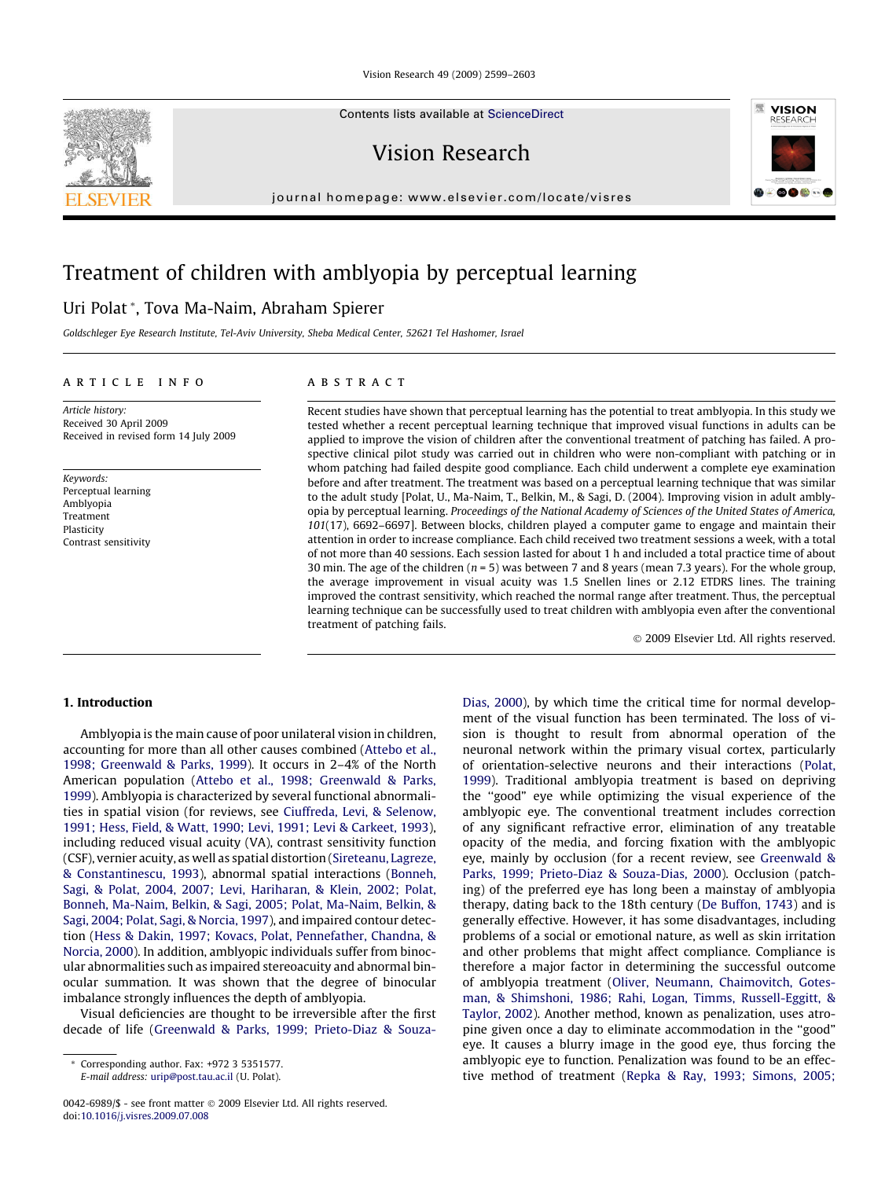Vision Research 49 (2009) 2599–2603

Contents lists available at [ScienceDirect](http://www.sciencedirect.com/science/journal/00426989)

Vision Research

journal homepage: [www.elsevier.com/locate/visres](http://www.elsevier.com/locate/visres)

# Treatment of children with amblyopia by perceptual learning

# Uri Polat \*, Tova Ma-Naim, Abraham Spierer

Goldschleger Eye Research Institute, Tel-Aviv University, Sheba Medical Center, 52621 Tel Hashomer, Israel

#### article info

Article history: Received 30 April 2009 Received in revised form 14 July 2009

Keywords: Perceptual learning Amblyopia Treatment Plasticity Contrast sensitivity

# **ABSTRACT**

Recent studies have shown that perceptual learning has the potential to treat amblyopia. In this study we tested whether a recent perceptual learning technique that improved visual functions in adults can be applied to improve the vision of children after the conventional treatment of patching has failed. A prospective clinical pilot study was carried out in children who were non-compliant with patching or in whom patching had failed despite good compliance. Each child underwent a complete eye examination before and after treatment. The treatment was based on a perceptual learning technique that was similar to the adult study [Polat, U., Ma-Naim, T., Belkin, M., & Sagi, D. (2004). Improving vision in adult amblyopia by perceptual learning. Proceedings of the National Academy of Sciences of the United States of America, 101(17), 6692–6697]. Between blocks, children played a computer game to engage and maintain their attention in order to increase compliance. Each child received two treatment sessions a week, with a total of not more than 40 sessions. Each session lasted for about 1 h and included a total practice time of about 30 min. The age of the children ( $n = 5$ ) was between 7 and 8 years (mean 7.3 years). For the whole group, the average improvement in visual acuity was 1.5 Snellen lines or 2.12 ETDRS lines. The training improved the contrast sensitivity, which reached the normal range after treatment. Thus, the perceptual learning technique can be successfully used to treat children with amblyopia even after the conventional treatment of patching fails.

- 2009 Elsevier Ltd. All rights reserved.

#### 1. Introduction

Amblyopia is the main cause of poor unilateral vision in children, accounting for more than all other causes combined ([Attebo et al.,](#page-4-0) [1998; Greenwald & Parks, 1999](#page-4-0)). It occurs in 2–4% of the North American population ([Attebo et al., 1998; Greenwald & Parks,](#page-4-0) [1999\)](#page-4-0). Amblyopia is characterized by several functional abnormalities in spatial vision (for reviews, see [Ciuffreda, Levi, & Selenow,](#page-4-0) [1991; Hess, Field, & Watt, 1990; Levi, 1991; Levi & Carkeet, 1993\)](#page-4-0), including reduced visual acuity (VA), contrast sensitivity function (CSF), vernier acuity, as well as spatial distortion [\(Sireteanu, Lagreze,](#page-4-0) [& Constantinescu, 1993](#page-4-0)), abnormal spatial interactions [\(Bonneh,](#page-4-0) [Sagi, & Polat, 2004, 2007; Levi, Hariharan, & Klein, 2002; Polat,](#page-4-0) [Bonneh, Ma-Naim, Belkin, & Sagi, 2005; Polat, Ma-Naim, Belkin, &](#page-4-0) [Sagi, 2004; Polat, Sagi, & Norcia, 1997\)](#page-4-0), and impaired contour detection ([Hess & Dakin, 1997; Kovacs, Polat, Pennefather, Chandna, &](#page-4-0) [Norcia, 2000\)](#page-4-0). In addition, amblyopic individuals suffer from binocular abnormalities such as impaired stereoacuity and abnormal binocular summation. It was shown that the degree of binocular imbalance strongly influences the depth of amblyopia.

Visual deficiencies are thought to be irreversible after the first decade of life ([Greenwald & Parks, 1999; Prieto-Diaz & Souza-](#page-4-0)

E-mail address: [urip@post.tau.ac.il](mailto:urip@post.tau.ac.il) (U. Polat).

[Dias, 2000\)](#page-4-0), by which time the critical time for normal development of the visual function has been terminated. The loss of vision is thought to result from abnormal operation of the neuronal network within the primary visual cortex, particularly of orientation-selective neurons and their interactions ([Polat,](#page-4-0) [1999\)](#page-4-0). Traditional amblyopia treatment is based on depriving the ''good" eye while optimizing the visual experience of the amblyopic eye. The conventional treatment includes correction of any significant refractive error, elimination of any treatable opacity of the media, and forcing fixation with the amblyopic eye, mainly by occlusion (for a recent review, see [Greenwald &](#page-4-0) [Parks, 1999; Prieto-Diaz & Souza-Dias, 2000\)](#page-4-0). Occlusion (patching) of the preferred eye has long been a mainstay of amblyopia therapy, dating back to the 18th century ([De Buffon, 1743\)](#page-4-0) and is generally effective. However, it has some disadvantages, including problems of a social or emotional nature, as well as skin irritation and other problems that might affect compliance. Compliance is therefore a major factor in determining the successful outcome of amblyopia treatment [\(Oliver, Neumann, Chaimovitch, Gotes](#page-4-0)[man, & Shimshoni, 1986; Rahi, Logan, Timms, Russell-Eggitt, &](#page-4-0) [Taylor, 2002\)](#page-4-0). Another method, known as penalization, uses atropine given once a day to eliminate accommodation in the ''good" eye. It causes a blurry image in the good eye, thus forcing the amblyopic eye to function. Penalization was found to be an effective method of treatment ([Repka & Ray, 1993; Simons, 2005;](#page-4-0)





Corresponding author. Fax: +972 3 5351577.

<sup>0042-6989/\$ -</sup> see front matter © 2009 Elsevier Ltd. All rights reserved. doi[:10.1016/j.visres.2009.07.008](http://dx.doi.org/10.1016/j.visres.2009.07.008)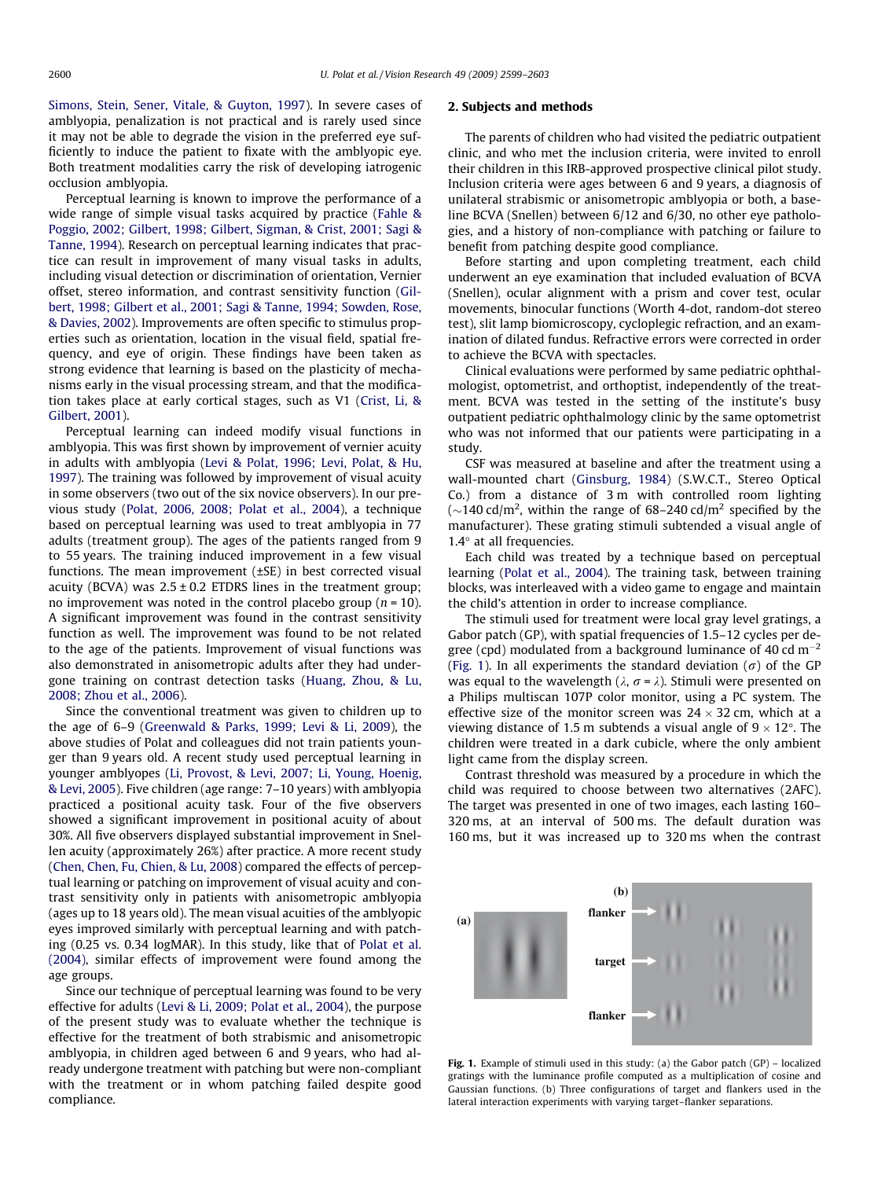<span id="page-1-0"></span>[Simons, Stein, Sener, Vitale, & Guyton, 1997\)](#page-4-0). In severe cases of amblyopia, penalization is not practical and is rarely used since it may not be able to degrade the vision in the preferred eye sufficiently to induce the patient to fixate with the amblyopic eye. Both treatment modalities carry the risk of developing iatrogenic occlusion amblyopia.

Perceptual learning is known to improve the performance of a wide range of simple visual tasks acquired by practice [\(Fahle &](#page-4-0) [Poggio, 2002; Gilbert, 1998; Gilbert, Sigman, & Crist, 2001; Sagi &](#page-4-0) [Tanne, 1994\)](#page-4-0). Research on perceptual learning indicates that practice can result in improvement of many visual tasks in adults, including visual detection or discrimination of orientation, Vernier offset, stereo information, and contrast sensitivity function ([Gil](#page-4-0)[bert, 1998; Gilbert et al., 2001; Sagi & Tanne, 1994; Sowden, Rose,](#page-4-0) [& Davies, 2002](#page-4-0)). Improvements are often specific to stimulus properties such as orientation, location in the visual field, spatial frequency, and eye of origin. These findings have been taken as strong evidence that learning is based on the plasticity of mechanisms early in the visual processing stream, and that the modification takes place at early cortical stages, such as V1 ([Crist, Li, &](#page-4-0) [Gilbert, 2001](#page-4-0)).

Perceptual learning can indeed modify visual functions in amblyopia. This was first shown by improvement of vernier acuity in adults with amblyopia [\(Levi & Polat, 1996; Levi, Polat, & Hu,](#page-4-0) [1997\)](#page-4-0). The training was followed by improvement of visual acuity in some observers (two out of the six novice observers). In our previous study [\(Polat, 2006, 2008; Polat et al., 2004\)](#page-4-0), a technique based on perceptual learning was used to treat amblyopia in 77 adults (treatment group). The ages of the patients ranged from 9 to 55 years. The training induced improvement in a few visual functions. The mean improvement (±SE) in best corrected visual acuity (BCVA) was  $2.5 \pm 0.2$  ETDRS lines in the treatment group; no improvement was noted in the control placebo group ( $n = 10$ ). A significant improvement was found in the contrast sensitivity function as well. The improvement was found to be not related to the age of the patients. Improvement of visual functions was also demonstrated in anisometropic adults after they had undergone training on contrast detection tasks [\(Huang, Zhou, & Lu,](#page-4-0) [2008; Zhou et al., 2006\)](#page-4-0).

Since the conventional treatment was given to children up to the age of 6–9 ([Greenwald & Parks, 1999; Levi & Li, 2009\)](#page-4-0), the above studies of Polat and colleagues did not train patients younger than 9 years old. A recent study used perceptual learning in younger amblyopes [\(Li, Provost, & Levi, 2007; Li, Young, Hoenig,](#page-4-0) [& Levi, 2005](#page-4-0)). Five children (age range: 7–10 years) with amblyopia practiced a positional acuity task. Four of the five observers showed a significant improvement in positional acuity of about 30%. All five observers displayed substantial improvement in Snellen acuity (approximately 26%) after practice. A more recent study ([Chen, Chen, Fu, Chien, & Lu, 2008\)](#page-4-0) compared the effects of perceptual learning or patching on improvement of visual acuity and contrast sensitivity only in patients with anisometropic amblyopia (ages up to 18 years old). The mean visual acuities of the amblyopic eyes improved similarly with perceptual learning and with patching (0.25 vs. 0.34 logMAR). In this study, like that of [Polat et al.](#page-4-0) [\(2004\),](#page-4-0) similar effects of improvement were found among the age groups.

Since our technique of perceptual learning was found to be very effective for adults ([Levi & Li, 2009; Polat et al., 2004\)](#page-4-0), the purpose of the present study was to evaluate whether the technique is effective for the treatment of both strabismic and anisometropic amblyopia, in children aged between 6 and 9 years, who had already undergone treatment with patching but were non-compliant with the treatment or in whom patching failed despite good compliance.

### 2. Subjects and methods

The parents of children who had visited the pediatric outpatient clinic, and who met the inclusion criteria, were invited to enroll their children in this IRB-approved prospective clinical pilot study. Inclusion criteria were ages between 6 and 9 years, a diagnosis of unilateral strabismic or anisometropic amblyopia or both, a baseline BCVA (Snellen) between 6/12 and 6/30, no other eye pathologies, and a history of non-compliance with patching or failure to benefit from patching despite good compliance.

Before starting and upon completing treatment, each child underwent an eye examination that included evaluation of BCVA (Snellen), ocular alignment with a prism and cover test, ocular movements, binocular functions (Worth 4-dot, random-dot stereo test), slit lamp biomicroscopy, cycloplegic refraction, and an examination of dilated fundus. Refractive errors were corrected in order to achieve the BCVA with spectacles.

Clinical evaluations were performed by same pediatric ophthalmologist, optometrist, and orthoptist, independently of the treatment. BCVA was tested in the setting of the institute's busy outpatient pediatric ophthalmology clinic by the same optometrist who was not informed that our patients were participating in a study.

CSF was measured at baseline and after the treatment using a wall-mounted chart [\(Ginsburg, 1984\)](#page-4-0) (S.W.C.T., Stereo Optical Co.) from a distance of 3 m with controlled room lighting  $\sim$ 140 cd/m<sup>2</sup>, within the range of 68–240 cd/m<sup>2</sup> specified by the manufacturer). These grating stimuli subtended a visual angle of  $1.4^\circ$  at all frequencies.

Each child was treated by a technique based on perceptual learning [\(Polat et al., 2004](#page-4-0)). The training task, between training blocks, was interleaved with a video game to engage and maintain the child's attention in order to increase compliance.

The stimuli used for treatment were local gray level gratings, a Gabor patch (GP), with spatial frequencies of 1.5–12 cycles per degree (cpd) modulated from a background luminance of 40 cd  $m^{-2}$ (Fig. 1). In all experiments the standard deviation ( $\sigma$ ) of the GP was equal to the wavelength  $(\lambda, \sigma = \lambda)$ . Stimuli were presented on a Philips multiscan 107P color monitor, using a PC system. The effective size of the monitor screen was  $24 \times 32$  cm, which at a viewing distance of 1.5 m subtends a visual angle of  $9 \times 12^{\circ}$ . The children were treated in a dark cubicle, where the only ambient light came from the display screen.

Contrast threshold was measured by a procedure in which the child was required to choose between two alternatives (2AFC). The target was presented in one of two images, each lasting 160– 320 ms, at an interval of 500 ms. The default duration was 160 ms, but it was increased up to 320 ms when the contrast



Fig. 1. Example of stimuli used in this study: (a) the Gabor patch (GP) – localized gratings with the luminance profile computed as a multiplication of cosine and Gaussian functions. (b) Three configurations of target and flankers used in the lateral interaction experiments with varying target–flanker separations.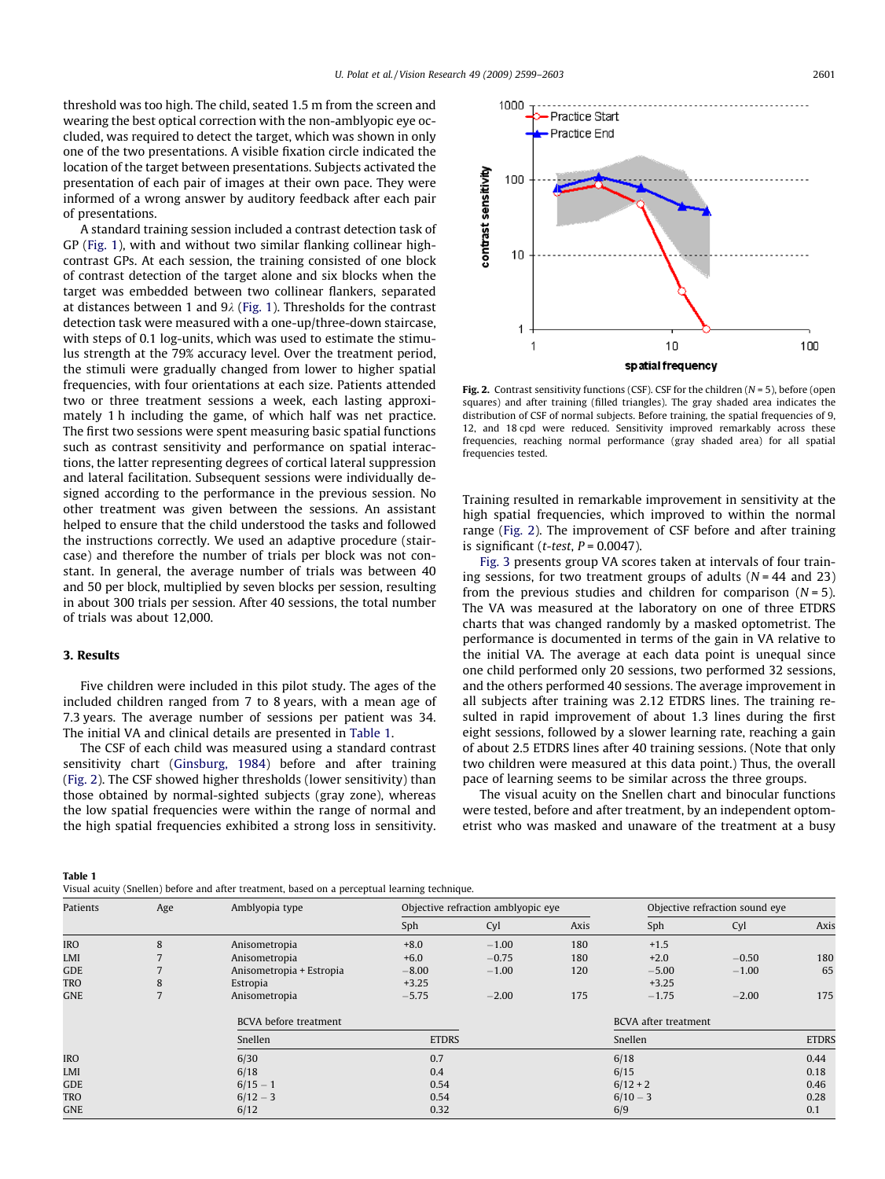threshold was too high. The child, seated 1.5 m from the screen and wearing the best optical correction with the non-amblyopic eye occluded, was required to detect the target, which was shown in only one of the two presentations. A visible fixation circle indicated the location of the target between presentations. Subjects activated the presentation of each pair of images at their own pace. They were informed of a wrong answer by auditory feedback after each pair of presentations.

A standard training session included a contrast detection task of GP ([Fig. 1\)](#page-1-0), with and without two similar flanking collinear highcontrast GPs. At each session, the training consisted of one block of contrast detection of the target alone and six blocks when the target was embedded between two collinear flankers, separated at distances between 1 and  $9\lambda$  [\(Fig. 1\)](#page-1-0). Thresholds for the contrast detection task were measured with a one-up/three-down staircase, with steps of 0.1 log-units, which was used to estimate the stimulus strength at the 79% accuracy level. Over the treatment period, the stimuli were gradually changed from lower to higher spatial frequencies, with four orientations at each size. Patients attended two or three treatment sessions a week, each lasting approximately 1 h including the game, of which half was net practice. The first two sessions were spent measuring basic spatial functions such as contrast sensitivity and performance on spatial interactions, the latter representing degrees of cortical lateral suppression and lateral facilitation. Subsequent sessions were individually designed according to the performance in the previous session. No other treatment was given between the sessions. An assistant helped to ensure that the child understood the tasks and followed the instructions correctly. We used an adaptive procedure (staircase) and therefore the number of trials per block was not constant. In general, the average number of trials was between 40 and 50 per block, multiplied by seven blocks per session, resulting in about 300 trials per session. After 40 sessions, the total number of trials was about 12,000.

#### 3. Results

Five children were included in this pilot study. The ages of the included children ranged from 7 to 8 years, with a mean age of 7.3 years. The average number of sessions per patient was 34. The initial VA and clinical details are presented in Table 1.

The CSF of each child was measured using a standard contrast sensitivity chart [\(Ginsburg, 1984\)](#page-4-0) before and after training (Fig. 2). The CSF showed higher thresholds (lower sensitivity) than those obtained by normal-sighted subjects (gray zone), whereas the low spatial frequencies were within the range of normal and the high spatial frequencies exhibited a strong loss in sensitivity.



Fig. 2. Contrast sensitivity functions (CSF). CSF for the children  $(N = 5)$ , before (open squares) and after training (filled triangles). The gray shaded area indicates the distribution of CSF of normal subjects. Before training, the spatial frequencies of 9, 12, and 18 cpd were reduced. Sensitivity improved remarkably across these frequencies, reaching normal performance (gray shaded area) for all spatial frequencies tested.

Training resulted in remarkable improvement in sensitivity at the high spatial frequencies, which improved to within the normal range (Fig. 2). The improvement of CSF before and after training is significant (*t*-test,  $P = 0.0047$ ).

[Fig. 3](#page-3-0) presents group VA scores taken at intervals of four training sessions, for two treatment groups of adults  $(N = 44$  and 23) from the previous studies and children for comparison  $(N = 5)$ . The VA was measured at the laboratory on one of three ETDRS charts that was changed randomly by a masked optometrist. The performance is documented in terms of the gain in VA relative to the initial VA. The average at each data point is unequal since one child performed only 20 sessions, two performed 32 sessions, and the others performed 40 sessions. The average improvement in all subjects after training was 2.12 ETDRS lines. The training resulted in rapid improvement of about 1.3 lines during the first eight sessions, followed by a slower learning rate, reaching a gain of about 2.5 ETDRS lines after 40 training sessions. (Note that only two children were measured at this data point.) Thus, the overall pace of learning seems to be similar across the three groups.

The visual acuity on the Snellen chart and binocular functions were tested, before and after treatment, by an independent optometrist who was masked and unaware of the treatment at a busy

#### Table 1

Visual acuity (Snellen) before and after treatment, based on a perceptual learning technique.

| Patients   | Age | Amblyopia type               | Objective refraction amblyopic eye |         |      | Objective refraction sound eye |         |              |
|------------|-----|------------------------------|------------------------------------|---------|------|--------------------------------|---------|--------------|
|            |     |                              | Sph                                | Cyl     | Axis | Sph                            | Cyl     | Axis         |
| <b>IRO</b> | 8   | Anisometropia                | $+8.0$                             | $-1.00$ | 180  | $+1.5$                         |         |              |
| LMI        |     | Anisometropia                | $+6.0$                             | $-0.75$ | 180  | $+2.0$                         | $-0.50$ | 180          |
| GDE        |     | Anisometropia + Estropia     | $-8.00$                            | $-1.00$ | 120  | $-5.00$                        | $-1.00$ | 65           |
| TRO        | 8   | Estropia                     | $+3.25$                            |         |      | $+3.25$                        |         |              |
| <b>GNE</b> |     | Anisometropia                | $-5.75$                            | $-2.00$ | 175  | $-1.75$                        | $-2.00$ | 175          |
|            |     | <b>BCVA</b> before treatment |                                    |         |      | BCVA after treatment           |         |              |
|            |     | Snellen                      | <b>ETDRS</b>                       |         |      | Snellen                        |         | <b>ETDRS</b> |
| <b>IRO</b> |     | 6/30                         | 0.7                                |         |      | 6/18                           |         | 0.44         |
| LMI        |     | 6/18                         | 0.4                                |         |      | 6/15                           |         | 0.18         |
| GDE        |     | $6/15 - 1$                   | 0.54                               |         |      | $6/12 + 2$                     |         | 0.46         |
| TRO        |     | $6/12 - 3$                   | 0.54                               |         |      | $6/10-3$                       |         | 0.28         |
| GNE        |     | 6/12                         | 0.32                               |         |      | 6/9                            |         | 0.1          |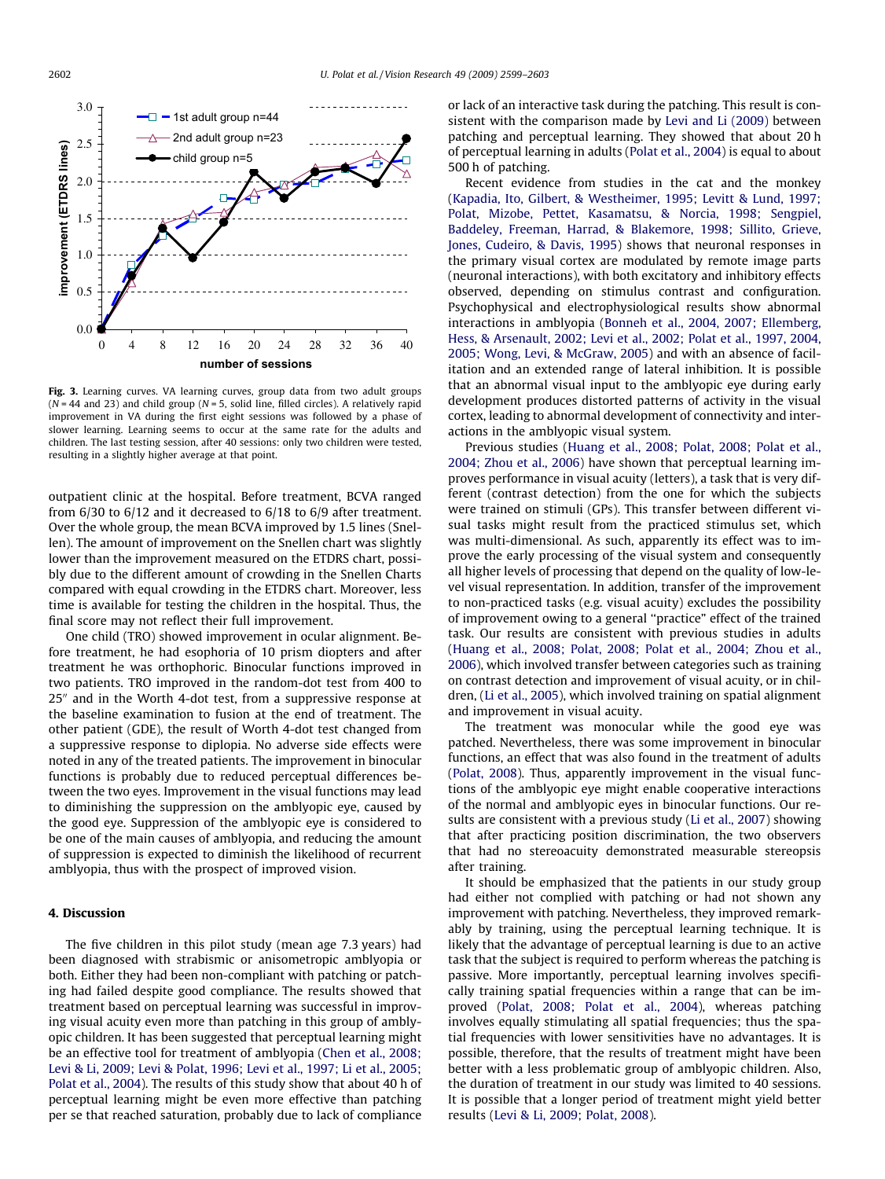<span id="page-3-0"></span>

Fig. 3. Learning curves. VA learning curves, group data from two adult groups  $(N = 44$  and 23) and child group ( $N = 5$ , solid line, filled circles). A relatively rapid improvement in VA during the first eight sessions was followed by a phase of slower learning. Learning seems to occur at the same rate for the adults and children. The last testing session, after 40 sessions: only two children were tested, resulting in a slightly higher average at that point.

outpatient clinic at the hospital. Before treatment, BCVA ranged from 6/30 to 6/12 and it decreased to 6/18 to 6/9 after treatment. Over the whole group, the mean BCVA improved by 1.5 lines (Snellen). The amount of improvement on the Snellen chart was slightly lower than the improvement measured on the ETDRS chart, possibly due to the different amount of crowding in the Snellen Charts compared with equal crowding in the ETDRS chart. Moreover, less time is available for testing the children in the hospital. Thus, the final score may not reflect their full improvement.

One child (TRO) showed improvement in ocular alignment. Before treatment, he had esophoria of 10 prism diopters and after treatment he was orthophoric. Binocular functions improved in two patients. TRO improved in the random-dot test from 400 to  $25<sup>''</sup>$  and in the Worth 4-dot test, from a suppressive response at the baseline examination to fusion at the end of treatment. The other patient (GDE), the result of Worth 4-dot test changed from a suppressive response to diplopia. No adverse side effects were noted in any of the treated patients. The improvement in binocular functions is probably due to reduced perceptual differences between the two eyes. Improvement in the visual functions may lead to diminishing the suppression on the amblyopic eye, caused by the good eye. Suppression of the amblyopic eye is considered to be one of the main causes of amblyopia, and reducing the amount of suppression is expected to diminish the likelihood of recurrent amblyopia, thus with the prospect of improved vision.

## 4. Discussion

The five children in this pilot study (mean age 7.3 years) had been diagnosed with strabismic or anisometropic amblyopia or both. Either they had been non-compliant with patching or patching had failed despite good compliance. The results showed that treatment based on perceptual learning was successful in improving visual acuity even more than patching in this group of amblyopic children. It has been suggested that perceptual learning might be an effective tool for treatment of amblyopia [\(Chen et al., 2008;](#page-4-0) [Levi & Li, 2009; Levi & Polat, 1996; Levi et al., 1997; Li et al., 2005;](#page-4-0) [Polat et al., 2004\)](#page-4-0). The results of this study show that about 40 h of perceptual learning might be even more effective than patching per se that reached saturation, probably due to lack of compliance or lack of an interactive task during the patching. This result is consistent with the comparison made by [Levi and Li \(2009\)](#page-4-0) between patching and perceptual learning. They showed that about 20 h of perceptual learning in adults ([Polat et al., 2004\)](#page-4-0) is equal to about 500 h of patching.

Recent evidence from studies in the cat and the monkey ([Kapadia, Ito, Gilbert, & Westheimer, 1995; Levitt & Lund, 1997;](#page-4-0) [Polat, Mizobe, Pettet, Kasamatsu, & Norcia, 1998; Sengpiel,](#page-4-0) [Baddeley, Freeman, Harrad, & Blakemore, 1998; Sillito, Grieve,](#page-4-0) [Jones, Cudeiro, & Davis, 1995\)](#page-4-0) shows that neuronal responses in the primary visual cortex are modulated by remote image parts (neuronal interactions), with both excitatory and inhibitory effects observed, depending on stimulus contrast and configuration. Psychophysical and electrophysiological results show abnormal interactions in amblyopia ([Bonneh et al., 2004, 2007; Ellemberg,](#page-4-0) [Hess, & Arsenault, 2002; Levi et al., 2002; Polat et al., 1997, 2004,](#page-4-0) [2005; Wong, Levi, & McGraw, 2005\)](#page-4-0) and with an absence of facilitation and an extended range of lateral inhibition. It is possible that an abnormal visual input to the amblyopic eye during early development produces distorted patterns of activity in the visual cortex, leading to abnormal development of connectivity and interactions in the amblyopic visual system.

Previous studies [\(Huang et al., 2008; Polat, 2008; Polat et al.,](#page-4-0) [2004; Zhou et al., 2006](#page-4-0)) have shown that perceptual learning improves performance in visual acuity (letters), a task that is very different (contrast detection) from the one for which the subjects were trained on stimuli (GPs). This transfer between different visual tasks might result from the practiced stimulus set, which was multi-dimensional. As such, apparently its effect was to improve the early processing of the visual system and consequently all higher levels of processing that depend on the quality of low-level visual representation. In addition, transfer of the improvement to non-practiced tasks (e.g. visual acuity) excludes the possibility of improvement owing to a general ''practice" effect of the trained task. Our results are consistent with previous studies in adults ([Huang et al., 2008; Polat, 2008; Polat et al., 2004; Zhou et al.,](#page-4-0) [2006\)](#page-4-0), which involved transfer between categories such as training on contrast detection and improvement of visual acuity, or in children, [\(Li et al., 2005](#page-4-0)), which involved training on spatial alignment and improvement in visual acuity.

The treatment was monocular while the good eye was patched. Nevertheless, there was some improvement in binocular functions, an effect that was also found in the treatment of adults ([Polat, 2008](#page-4-0)). Thus, apparently improvement in the visual functions of the amblyopic eye might enable cooperative interactions of the normal and amblyopic eyes in binocular functions. Our results are consistent with a previous study ([Li et al., 2007](#page-4-0)) showing that after practicing position discrimination, the two observers that had no stereoacuity demonstrated measurable stereopsis after training.

It should be emphasized that the patients in our study group had either not complied with patching or had not shown any improvement with patching. Nevertheless, they improved remarkably by training, using the perceptual learning technique. It is likely that the advantage of perceptual learning is due to an active task that the subject is required to perform whereas the patching is passive. More importantly, perceptual learning involves specifically training spatial frequencies within a range that can be improved (Polat, 2008; Polat [et al., 2004\)](#page-4-0), whereas patching involves equally stimulating all spatial frequencies; thus the spatial frequencies with lower sensitivities have no advantages. It is possible, therefore, that the results of treatment might have been better with a less problematic group of amblyopic children. Also, the duration of treatment in our study was limited to 40 sessions. It is possible that a longer period of treatment might yield better results ([Levi & Li, 2009; Polat, 2008\)](#page-4-0).